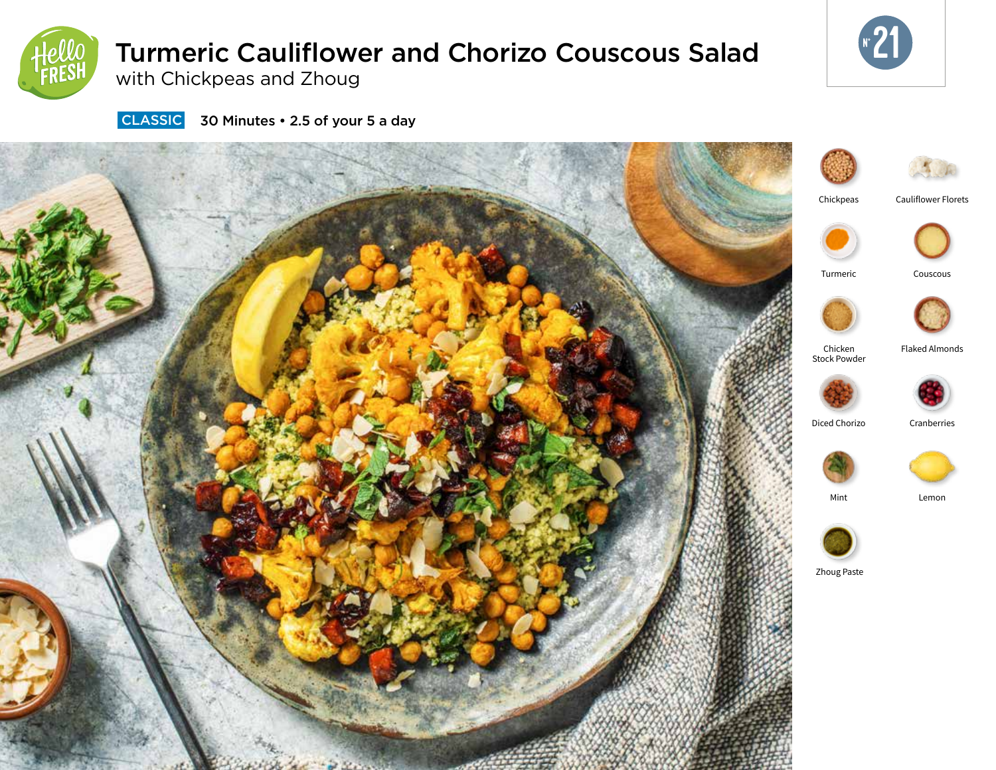

# Turmeric Cauliflower and Chorizo Couscous Salad

with Chickpeas and Zhoug



**CLASSIC** 30 Minutes • 2.5 of your 5 a day